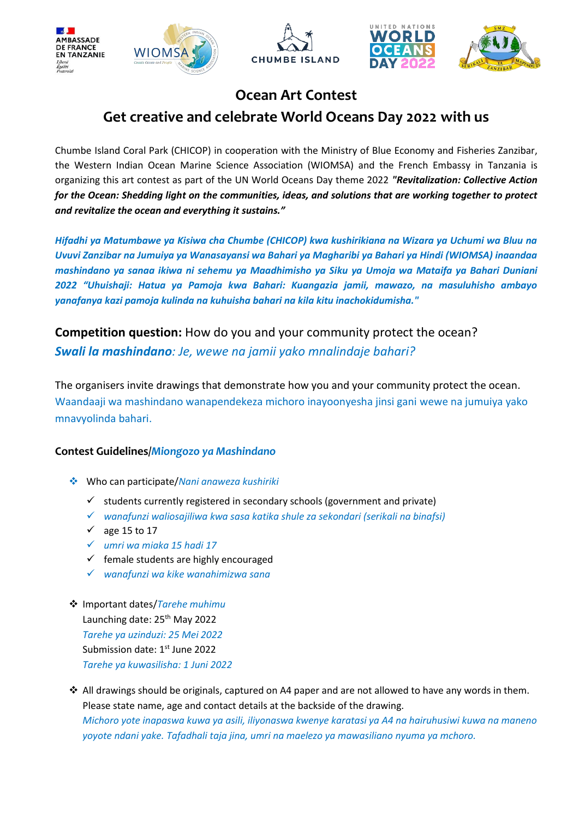









## **Ocean Art Contest Get creative and celebrate World Oceans Day 2022 with us**

Chumbe Island Coral Park (CHICOP) in cooperation with the Ministry of Blue Economy and Fisheries Zanzibar, the Western Indian Ocean Marine Science Association (WIOMSA) and the French Embassy in Tanzania is organizing this art contest as part of the UN World Oceans Day theme 2022 *"Revitalization: Collective Action for the Ocean: Shedding light on the communities, ideas, and solutions that are working together to protect and revitalize the ocean and everything it sustains."*

*Hifadhi ya Matumbawe ya Kisiwa cha Chumbe (CHICOP) kwa kushirikiana na Wizara ya Uchumi wa Bluu na Uvuvi Zanzibar na Jumuiya ya Wanasayansi wa Bahari ya Magharibi ya Bahari ya Hindi (WIOMSA) inaandaa mashindano ya sanaa ikiwa ni sehemu ya Maadhimisho ya Siku ya Umoja wa Mataifa ya Bahari Duniani 2022 "Uhuishaji: Hatua ya Pamoja kwa Bahari: Kuangazia jamii, mawazo, na masuluhisho ambayo yanafanya kazi pamoja kulinda na kuhuisha bahari na kila kitu inachokidumisha."*

**Competition question:** How do you and your community protect the ocean? *Swali la mashindano: Je, wewe na jamii yako mnalindaje bahari?*

The organisers invite drawings that demonstrate how you and your community protect the ocean. Waandaaji wa mashindano wanapendekeza michoro inayoonyesha jinsi gani wewe na jumuiya yako mnavyolinda bahari.

## **Contest Guidelines/***Miongozo ya Mashindano*

- ❖ Who can participate/*Nani anaweza kushiriki*
	- $\checkmark$  students currently registered in secondary schools (government and private)
	- ✓ *wanafunzi waliosajiliwa kwa sasa katika shule za sekondari (serikali na binafsi)*
	- $√$  age 15 to 17
	- ✓ *umri wa miaka 15 hadi 17*
	- ✓ female students are highly encouraged
	- ✓ *wanafunzi wa kike wanahimizwa sana*
- ❖ Important dates/*Tarehe muhimu* Launching date: 25<sup>th</sup> May 2022 *Tarehe ya uzinduzi: 25 Mei 2022* Submission date: 1<sup>st</sup> June 2022 *Tarehe ya kuwasilisha: 1 Juni 2022*
- ❖ All drawings should be originals, captured on A4 paper and are not allowed to have any words in them. Please state name, age and contact details at the backside of the drawing. *Michoro yote inapaswa kuwa ya asili, iliyonaswa kwenye karatasi ya A4 na hairuhusiwi kuwa na maneno yoyote ndani yake. Tafadhali taja jina, umri na maelezo ya mawasiliano nyuma ya mchoro.*